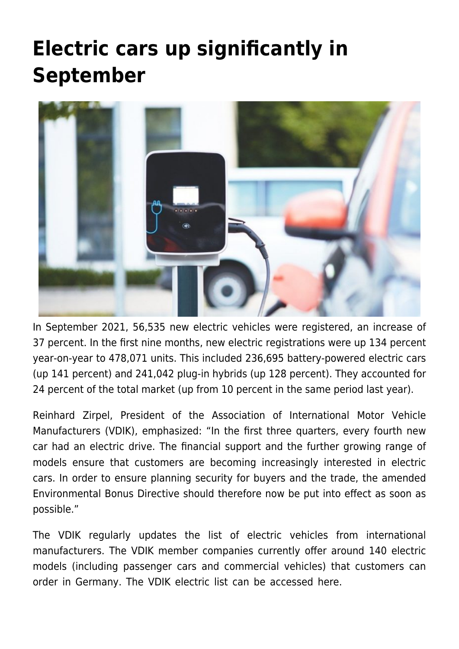## **[Electric cars up significantly in](https://www.vdik.de/en/2021/electric-cars-up-significantly-in-september/) [September](https://www.vdik.de/en/2021/electric-cars-up-significantly-in-september/)**



In September 2021, 56,535 new electric vehicles were registered, an increase of 37 percent. In the first nine months, new electric registrations were up 134 percent year-on-year to 478,071 units. This included 236,695 battery-powered electric cars (up 141 percent) and 241,042 plug-in hybrids (up 128 percent). They accounted for 24 percent of the total market (up from 10 percent in the same period last year).

Reinhard Zirpel, President of the Association of International Motor Vehicle Manufacturers (VDIK), emphasized: "In the first three quarters, every fourth new car had an electric drive. The financial support and the further growing range of models ensure that customers are becoming increasingly interested in electric cars. In order to ensure planning security for buyers and the trade, the amended Environmental Bonus Directive should therefore now be put into effect as soon as possible."

The VDIK regularly updates the list of electric vehicles from international manufacturers. The VDIK member companies currently offer around 140 electric models (including passenger cars and commercial vehicles) that customers can order in Germany. The VDIK electric list can be accessed here.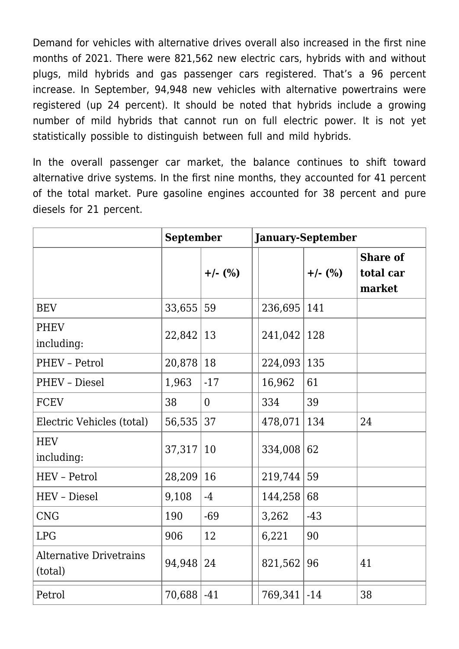Demand for vehicles with alternative drives overall also increased in the first nine months of 2021. There were 821,562 new electric cars, hybrids with and without plugs, mild hybrids and gas passenger cars registered. That's a 96 percent increase. In September, 94,948 new vehicles with alternative powertrains were registered (up 24 percent). It should be noted that hybrids include a growing number of mild hybrids that cannot run on full electric power. It is not yet statistically possible to distinguish between full and mild hybrids.

In the overall passenger car market, the balance continues to shift toward alternative drive systems. In the first nine months, they accounted for 41 percent of the total market. Pure gasoline engines accounted for 38 percent and pure diesels for 21 percent.

|                                           | <b>September</b> |                | <b>January-September</b> |                 |           |                                        |
|-------------------------------------------|------------------|----------------|--------------------------|-----------------|-----------|----------------------------------------|
|                                           |                  | $+/-$ (%)      |                          |                 | $+/-$ (%) | <b>Share of</b><br>total car<br>market |
| <b>BEV</b>                                | 33,655           | 59             |                          | 236,695         | 141       |                                        |
| <b>PHEV</b><br>including:                 | 22,842           | 13             |                          | $241,042$   128 |           |                                        |
| PHEV - Petrol                             | 20,878           | 18             |                          | 224,093         | 135       |                                        |
| PHEV - Diesel                             | 1,963            | $-17$          |                          | 16,962          | 61        |                                        |
| <b>FCEV</b>                               | 38               | $\overline{0}$ |                          | 334             | 39        |                                        |
| Electric Vehicles (total)                 | 56,535           | 37             |                          | 478,071         | 134       | 24                                     |
| <b>HEV</b><br>including:                  | 37,317           | 10             |                          | 334,008         | 62        |                                        |
| <b>HEV</b> - Petrol                       | 28,209           | 16             |                          | 219,744         | 59        |                                        |
| HEV - Diesel                              | 9,108            | $-4$           |                          | 144,258         | 68        |                                        |
| <b>CNG</b>                                | 190              | $-69$          |                          | 3,262           | $-43$     |                                        |
| <b>LPG</b>                                | 906              | 12             |                          | 6,221           | 90        |                                        |
| <b>Alternative Drivetrains</b><br>(total) | 94,948           | 24             |                          | 821,562         | 96        | 41                                     |
| Petrol                                    | $70,688$ -41     |                |                          | 769,341         | $-14$     | 38                                     |